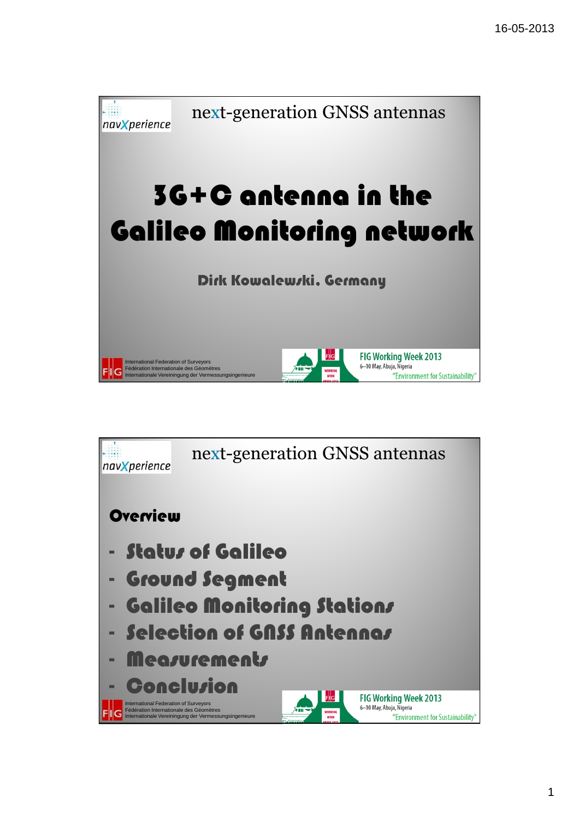

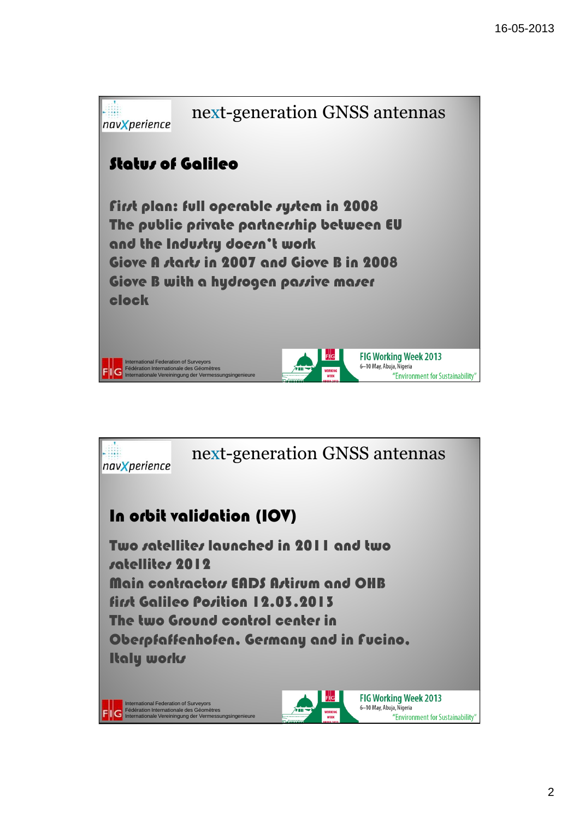

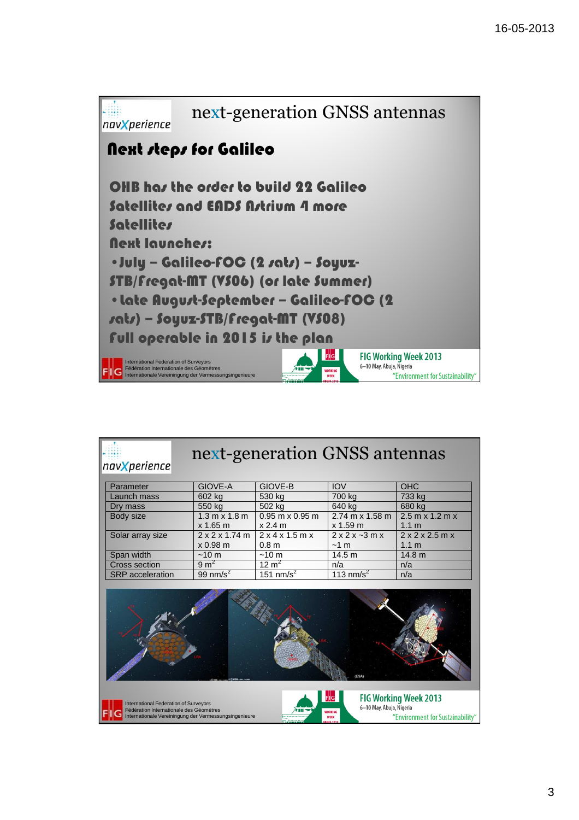

| navXperience                                                                                                                                                                                                                                                                |                                        | next-generation GNSS antennas    |                                 |                                       |  |  |  |  |
|-----------------------------------------------------------------------------------------------------------------------------------------------------------------------------------------------------------------------------------------------------------------------------|----------------------------------------|----------------------------------|---------------------------------|---------------------------------------|--|--|--|--|
| Parameter                                                                                                                                                                                                                                                                   | GIOVE-A                                | GIOVE-B                          | <b>IOV</b>                      | OHC                                   |  |  |  |  |
| Launch mass                                                                                                                                                                                                                                                                 | 602 kg                                 | 530 kg                           | 700 kg                          | 733 kg                                |  |  |  |  |
| Dry mass                                                                                                                                                                                                                                                                    | 550 kg                                 | 502 kg                           | 640 kg                          | 680 kg                                |  |  |  |  |
| Body size                                                                                                                                                                                                                                                                   | 1.3 m x 1.8 m<br>$x 1.65$ m            | $0.95$ m x $0.95$ m<br>$x$ 2.4 m | 2.74 m x 1.58 m<br>$x$ 1.59 $m$ | $2.5$ m x 1.2 m x<br>1.1 <sub>m</sub> |  |  |  |  |
| Solar array size                                                                                                                                                                                                                                                            | $2 \times 2 \times 1.74$ m<br>x 0.98 m | 2x4x1.5mx<br>0.8 <sub>m</sub>    | $2x2x-3mx$<br>~1~ <sub>m</sub>  | 2x2x2.5mx<br>1.1 <sub>m</sub>         |  |  |  |  |
| Span width                                                                                                                                                                                                                                                                  | $~10 \text{ m}$                        | ~10~ <sub>m</sub>                | 14.5 m                          | 14.8 m                                |  |  |  |  |
| <b>Cross section</b>                                                                                                                                                                                                                                                        | $9 \text{ m}^2$                        | $12 \text{ m}^2$                 | n/a                             | n/a                                   |  |  |  |  |
| <b>SRP</b> acceleration                                                                                                                                                                                                                                                     | $99$ nm/s <sup>2</sup>                 | $151$ nm/s <sup>2</sup>          | 113 nm/s $2$                    | n/a                                   |  |  |  |  |
|                                                                                                                                                                                                                                                                             |                                        |                                  |                                 |                                       |  |  |  |  |
| <b>FIG Working Week 2013</b><br>F  G<br><b>International Federation of Surveyors</b><br>6-10 May, Abuja, Nigeria<br>Fédération Internationale des Géomètres<br>WORKING<br>Internationale Vereiningung der Vermessungsingenieure<br>"Environment for Sustainability"<br>WFFK |                                        |                                  |                                 |                                       |  |  |  |  |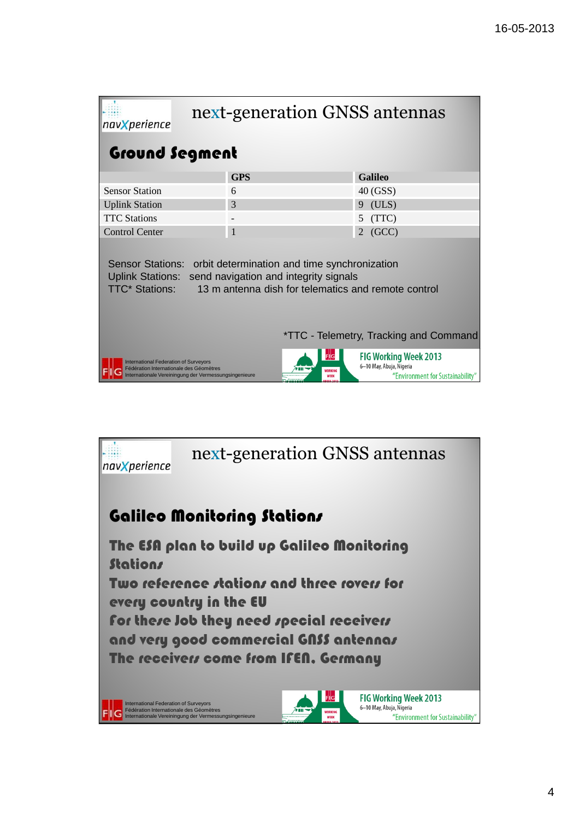| next-generation GNSS antennas<br>navXperience                                                                                                                                                                                                                                |            |                |  |  |  |  |  |  |
|------------------------------------------------------------------------------------------------------------------------------------------------------------------------------------------------------------------------------------------------------------------------------|------------|----------------|--|--|--|--|--|--|
| <b>Ground Segment</b>                                                                                                                                                                                                                                                        |            |                |  |  |  |  |  |  |
|                                                                                                                                                                                                                                                                              | <b>GPS</b> | <b>Galileo</b> |  |  |  |  |  |  |
| <b>Sensor Station</b>                                                                                                                                                                                                                                                        | 6          | 40 (GSS)       |  |  |  |  |  |  |
| <b>Uplink Station</b>                                                                                                                                                                                                                                                        | 3          | (ULS)<br>9     |  |  |  |  |  |  |
| <b>TTC Stations</b>                                                                                                                                                                                                                                                          |            | (TTC)<br>5     |  |  |  |  |  |  |
| <b>Control Center</b>                                                                                                                                                                                                                                                        | 1          | (GCC)<br>2     |  |  |  |  |  |  |
| <b>Sensor Stations:</b><br>orbit determination and time synchronization<br><b>Uplink Stations:</b><br>send navigation and integrity signals<br><b>TTC* Stations:</b><br>13 m antenna dish for telematics and remote control<br><i>*TTC - Telemetry, Tracking and Command</i> |            |                |  |  |  |  |  |  |
|                                                                                                                                                                                                                                                                              |            |                |  |  |  |  |  |  |
| <b>FIG Working Week 2013</b><br><b>International Federation of Surveyors</b><br>6-10 May, Abuja, Nigeria<br>Fédération Internationale des Géomètres<br><b>WORKING</b><br>"Environment for Sustainability"<br>Internationale Vereiningung der Vermessungsingenieure<br>WEEK   |            |                |  |  |  |  |  |  |

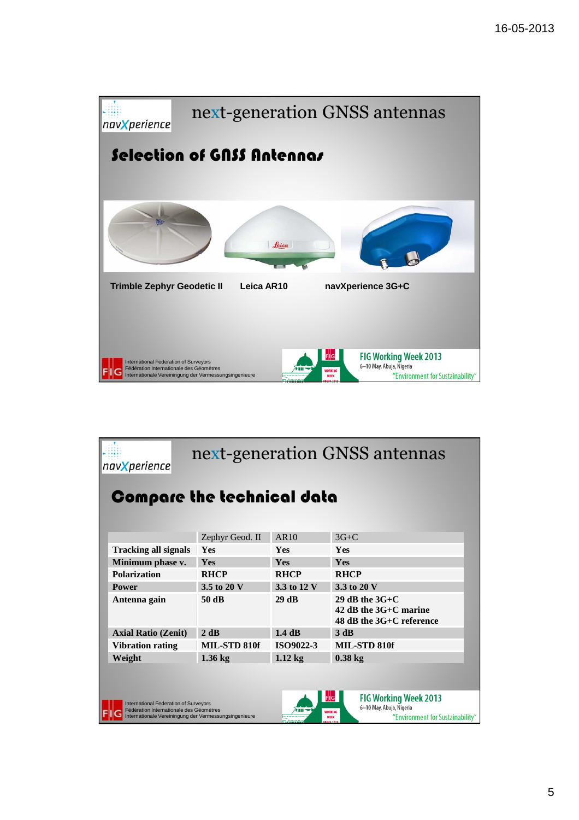

|                                   | next-generation GNSS antennas<br>nav <b>X</b> perience                                                                                                                                                                                                                             |                 |                  |                                                                           |  |  |  |  |
|-----------------------------------|------------------------------------------------------------------------------------------------------------------------------------------------------------------------------------------------------------------------------------------------------------------------------------|-----------------|------------------|---------------------------------------------------------------------------|--|--|--|--|
| <b>Compare the technical data</b> |                                                                                                                                                                                                                                                                                    |                 |                  |                                                                           |  |  |  |  |
|                                   |                                                                                                                                                                                                                                                                                    | Zephyr Geod. II | AR10             | $3G+C$                                                                    |  |  |  |  |
|                                   | <b>Tracking all signals</b>                                                                                                                                                                                                                                                        | <b>Yes</b>      | <b>Yes</b>       | <b>Yes</b>                                                                |  |  |  |  |
|                                   | Minimum phase v.                                                                                                                                                                                                                                                                   | <b>Yes</b>      | <b>Yes</b>       | <b>Yes</b>                                                                |  |  |  |  |
|                                   | <b>Polarization</b>                                                                                                                                                                                                                                                                | <b>RHCP</b>     | <b>RHCP</b>      | <b>RHCP</b>                                                               |  |  |  |  |
|                                   | <b>Power</b>                                                                                                                                                                                                                                                                       | 3.5 to 20 V     | 3.3 to 12 V      | 3.3 to 20 V                                                               |  |  |  |  |
|                                   | Antenna gain                                                                                                                                                                                                                                                                       | 50 dB           | 29 dB            | 29 dB the $3G+C$<br>42 dB the $3G+C$ marine<br>48 dB the $3G+C$ reference |  |  |  |  |
|                                   | <b>Axial Ratio (Zenit)</b>                                                                                                                                                                                                                                                         | 2 dB            | $1.4$ dB         | 3 dB                                                                      |  |  |  |  |
|                                   | <b>Vibration rating</b>                                                                                                                                                                                                                                                            | MIL-STD 810f    | <b>ISO9022-3</b> | MIL-STD 810f                                                              |  |  |  |  |
|                                   | Weight                                                                                                                                                                                                                                                                             | $1.36$ kg       | $1.12$ kg        | $0.38$ kg                                                                 |  |  |  |  |
|                                   |                                                                                                                                                                                                                                                                                    |                 |                  |                                                                           |  |  |  |  |
|                                   | <b>FIG Working Week 2013</b><br>F  G<br><b>International Federation of Surveyors</b><br>6-10 May, Abuja, Nigeria<br>Fédération Internationale des Géomètres<br>WORKING<br>Internationale Vereiningung der Vermessungsingenieure<br>"Environment for Sustainability"<br><b>WEEK</b> |                 |                  |                                                                           |  |  |  |  |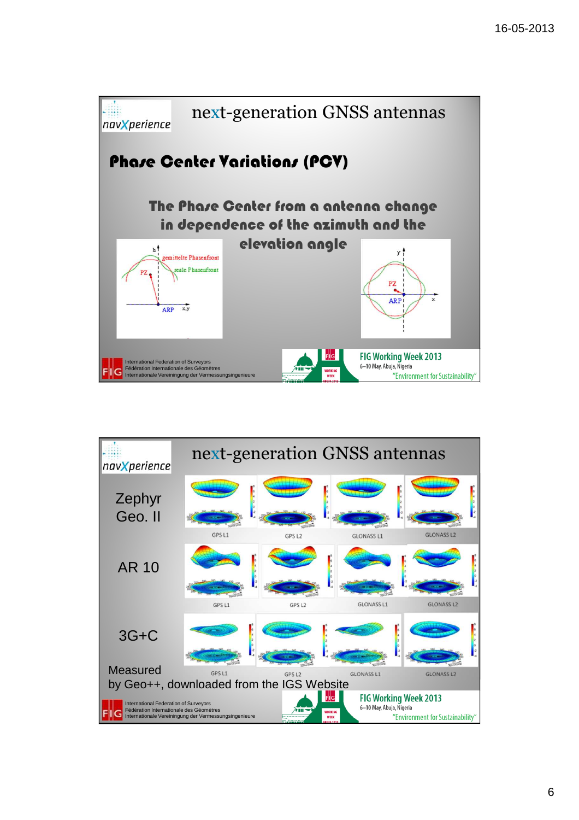

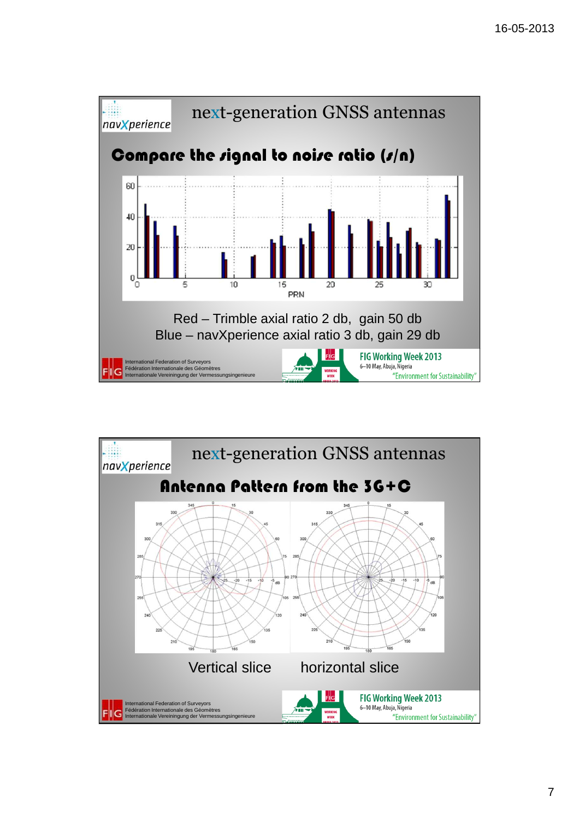

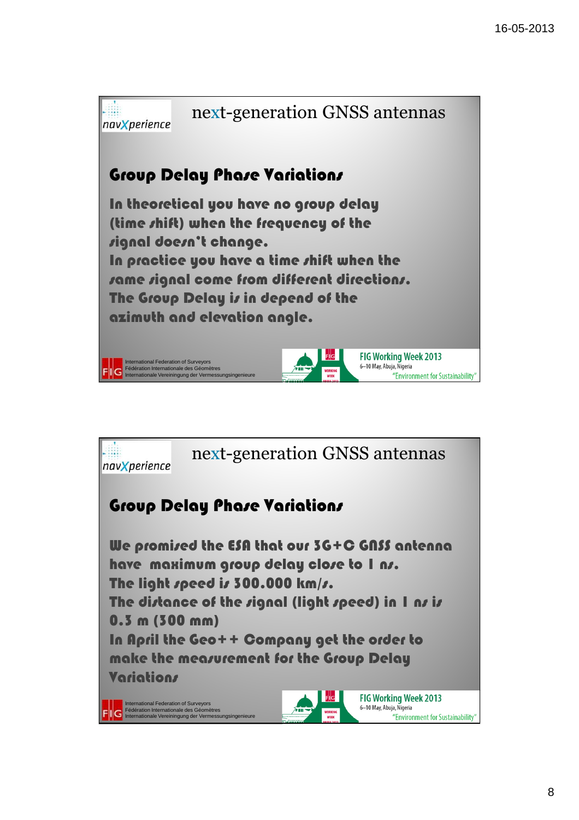

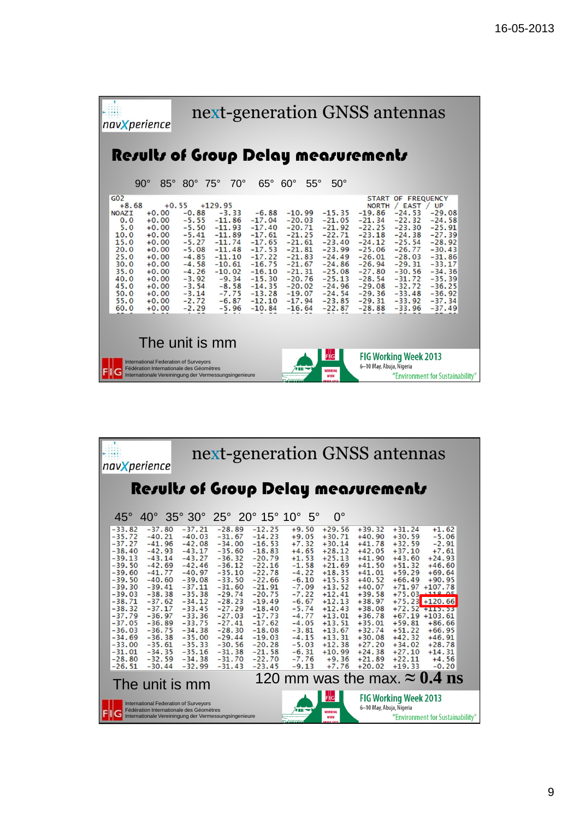|                |                                                                                                                                                  | navXperience                                                                                                                                           |                                                                                                                                                                   | next-generation GNSS antennas                                                                                                                                               |                                                                                                                                                                     |                                                                                                                                                                      |              |                                                                                                                                                                      |                                                                                                                                                                      |                                                                                                                                                                                                                 |                                                                                                                                                                      |  |
|----------------|--------------------------------------------------------------------------------------------------------------------------------------------------|--------------------------------------------------------------------------------------------------------------------------------------------------------|-------------------------------------------------------------------------------------------------------------------------------------------------------------------|-----------------------------------------------------------------------------------------------------------------------------------------------------------------------------|---------------------------------------------------------------------------------------------------------------------------------------------------------------------|----------------------------------------------------------------------------------------------------------------------------------------------------------------------|--------------|----------------------------------------------------------------------------------------------------------------------------------------------------------------------|----------------------------------------------------------------------------------------------------------------------------------------------------------------------|-----------------------------------------------------------------------------------------------------------------------------------------------------------------------------------------------------------------|----------------------------------------------------------------------------------------------------------------------------------------------------------------------|--|
|                |                                                                                                                                                  |                                                                                                                                                        |                                                                                                                                                                   | <b>Results of Group Delay measurements</b>                                                                                                                                  |                                                                                                                                                                     |                                                                                                                                                                      |              |                                                                                                                                                                      |                                                                                                                                                                      |                                                                                                                                                                                                                 |                                                                                                                                                                      |  |
|                |                                                                                                                                                  | $90^\circ$<br>$85^\circ$                                                                                                                               | $80^\circ$                                                                                                                                                        | $75^\circ$<br>$70^{\circ}$                                                                                                                                                  | $65^{\circ}$                                                                                                                                                        | $60^{\circ}$                                                                                                                                                         | $55^{\circ}$ | $50^\circ$                                                                                                                                                           |                                                                                                                                                                      |                                                                                                                                                                                                                 |                                                                                                                                                                      |  |
|                | G <sub>02</sub><br>$+8.68$<br><b>NOAZI</b><br>0.0<br>5.0<br>10.0<br>15.0<br>20.0<br>25.0<br>30.0<br>35.0<br>40.0<br>45.0<br>50.0<br>55.0<br>60.0 | $+0.00$<br>$+0.00$<br>$+0.00$<br>$+0.00$<br>$+0.00$<br>$+0.00$<br>$+0.00$<br>$+0.00$<br>$+0.00$<br>$+0.00$<br>$+0.00$<br>$+0.00$<br>$+0.00$<br>$+0.00$ | $+0.55$<br>$-0.88$<br>$-5.55$<br>$-5.50$<br>$-5.41$<br>$-5.27$<br>$-5.08$<br>$-4.85$<br>$-4.58$<br>$-4.26$<br>$-3.92$<br>$-3.54$<br>$-3.14$<br>$-2.72$<br>$-2.29$ | $+129.95$<br>$-3.33$<br>$-11.86$<br>$-11.93$<br>$-11.89$<br>$-11.74$<br>$-11.48$<br>$-11.10$<br>$-10.61$<br>$-10.02$<br>$-9.34$<br>$-8.58$<br>$-7.75$<br>$-6.87$<br>$-5.96$ | $-6.88$<br>$-17.04$<br>$-17.40$<br>$-17.61$<br>$-17.65$<br>$-17.53$<br>$-17.22$<br>$-16.75$<br>$-16.10$<br>$-15.30$<br>$-14.35$<br>$-13.28$<br>$-12.10$<br>$-10.84$ | $-10.99$<br>$-20.03$<br>$-20.71$<br>$-21.25$<br>$-21.61$<br>$-21.81$<br>$-21.83$<br>$-21.67$<br>$-21.31$<br>$-20.76$<br>$-20.02$<br>$-19.07$<br>$-17.94$<br>$-16.64$ |              | $-15.35$<br>$-21.05$<br>$-21.92$<br>$-22.71$<br>$-23.40$<br>$-23.99$<br>$-24.49$<br>$-24.86$<br>$-25.08$<br>$-25.13$<br>$-24.96$<br>$-24.54$<br>$-23.85$<br>$-22.87$ | $-19.86$<br>$-21.34$<br>$-22.25$<br>$-23.18$<br>$-24.12$<br>$-25.06$<br>$-26.01$<br>$-26.94$<br>$-27.80$<br>$-28.54$<br>$-29.08$<br>$-29.36$<br>$-29.31$<br>$-28.88$ | START OF FREQUENCY<br>NORTH / EAST / UP<br>$-24.53$<br>$-22.32$<br>$-23.30$<br>$-24.38$<br>$-25.54$<br>$-26.77$<br>$-28.03$<br>$-29.31$<br>$-30.56$<br>$-31.72$<br>$-32.72$<br>$-33.48$<br>$-33.92$<br>$-33.96$ | $-29.08$<br>$-24.58$<br>$-25.91$<br>$-27.39$<br>$-28.92$<br>$-30.43$<br>$-31.86$<br>$-33.17$<br>$-34.36$<br>$-35.39$<br>$-36.25$<br>$-36.92$<br>$-37.34$<br>$-37.49$ |  |
| The unit is mm |                                                                                                                                                  |                                                                                                                                                        |                                                                                                                                                                   |                                                                                                                                                                             |                                                                                                                                                                     |                                                                                                                                                                      |              |                                                                                                                                                                      |                                                                                                                                                                      |                                                                                                                                                                                                                 |                                                                                                                                                                      |  |
|                |                                                                                                                                                  |                                                                                                                                                        | <b>International Federation of Surveyors</b><br>Fédération Internationale des Géomètres                                                                           | Internationale Vereiningung der Vermessungsingenieure                                                                                                                       |                                                                                                                                                                     |                                                                                                                                                                      |              | F  G<br><b>WORKING</b><br><b>WEEK</b>                                                                                                                                | 6-10 May, Abuja, Nigeria                                                                                                                                             | <b>FIG Working Week 2013</b>                                                                                                                                                                                    | "Environment for Sustainability"                                                                                                                                     |  |

| next-generation GNSS antennas<br>navXperience                                                                                                                                                                                                                                                                                                                                                                                                                                                                                                                                                                                                                                                                                                |                                                                                                                                                                                                                                                                                                                                                                                                                                                                                              |                                                                                                                                                                                                                                                                                                                                                                                                                                                                        |                                                                                                                                                                                                                                                                                                                                                                                                                                                                                                                                                                                                                                                                                                                                |  |  |  |  |
|----------------------------------------------------------------------------------------------------------------------------------------------------------------------------------------------------------------------------------------------------------------------------------------------------------------------------------------------------------------------------------------------------------------------------------------------------------------------------------------------------------------------------------------------------------------------------------------------------------------------------------------------------------------------------------------------------------------------------------------------|----------------------------------------------------------------------------------------------------------------------------------------------------------------------------------------------------------------------------------------------------------------------------------------------------------------------------------------------------------------------------------------------------------------------------------------------------------------------------------------------|------------------------------------------------------------------------------------------------------------------------------------------------------------------------------------------------------------------------------------------------------------------------------------------------------------------------------------------------------------------------------------------------------------------------------------------------------------------------|--------------------------------------------------------------------------------------------------------------------------------------------------------------------------------------------------------------------------------------------------------------------------------------------------------------------------------------------------------------------------------------------------------------------------------------------------------------------------------------------------------------------------------------------------------------------------------------------------------------------------------------------------------------------------------------------------------------------------------|--|--|--|--|
| <b>Results of Group Delay measurements</b>                                                                                                                                                                                                                                                                                                                                                                                                                                                                                                                                                                                                                                                                                                   |                                                                                                                                                                                                                                                                                                                                                                                                                                                                                              |                                                                                                                                                                                                                                                                                                                                                                                                                                                                        |                                                                                                                                                                                                                                                                                                                                                                                                                                                                                                                                                                                                                                                                                                                                |  |  |  |  |
| $45^\circ$                                                                                                                                                                                                                                                                                                                                                                                                                                                                                                                                                                                                                                                                                                                                   | $40^{\circ}$ 35° 30° 25° 20° 15° 10°                                                                                                                                                                                                                                                                                                                                                                                                                                                         | $5^\circ$<br>$0^{\circ}$                                                                                                                                                                                                                                                                                                                                                                                                                                               |                                                                                                                                                                                                                                                                                                                                                                                                                                                                                                                                                                                                                                                                                                                                |  |  |  |  |
| $-37.80$<br>$-33.82$<br>$-37.21$<br>$-35.72$<br>$-40.03$<br>$-40.21$<br>$-37.27$<br>$-41.96$<br>$-42.08$<br>$-38.40$<br>$-42.93$<br>$-43.17$<br>$-43.14$<br>$-43.27$<br>$-39.13$<br>$-39.50$<br>$-42.69$<br>$-42.46$<br>$-39.60$<br>$-40.97$<br>$-41.77$<br>$-39.50$<br>$-40.60$<br>$-39.08$<br>$-37.11$<br>$-39.30$<br>$-39.41$<br>$-39.03$<br>$-38.38$<br>$-35.38$<br>$-38.71$<br>$-37.62$<br>$-34.12$<br>$-38.32$<br>$-37.17$<br>$-33.45$<br>$-36.97$<br>$-37.79$<br>$-33.36$<br>$-36.89$<br>$-33.75$<br>$-37.05$<br>$-36.03$<br>$-36.75$<br>$-34.38$<br>$-34.69$<br>$-36.38$<br>$-35.00$<br>$-33.00$<br>$-35.61$<br>$-35.33$<br>$-31.01$<br>$-34.35$<br>$-35.16$<br>$-32.59$<br>$-34.38$<br>$-28.80$<br>$-32.99$<br>$-26.51$<br>$-30.44$ | $-12.25$<br>$-28.89$<br>$-31.67$<br>$-14.23$<br>$-34.00$<br>$-16.53$<br>$-18.83$<br>$-35.60$<br>$-36.32$<br>$-20.79$<br>$-36.12$<br>$-22.16$<br>$-35.10$<br>$-22.78$<br>$-33.50$<br>$-22.66$<br>$-31.60$<br>$-21.91$<br>$-20.75$<br>$-29.74$<br>$-28.23$<br>$-19.49$<br>$-27.29$<br>$-18.40$<br>$-27.03$<br>$-17.73$<br>$-27.41$<br>$-17.62$<br>$-28.30$<br>$-18.08$<br>$-29.44$<br>$-19.03$<br>$-30.56$<br>$-20.28$<br>$-21.58$<br>$-31.38$<br>$-22.70$<br>$-31.70$<br>$-23.45$<br>$-31.43$ | $+9.50$<br>$+29.56$<br>$+9.05$<br>$+30.71$<br>$+7.32$<br>$+30.14$<br>$+28.12$<br>$+4.65$<br>$+1.53$<br>$+25.13$<br>$-1.58$<br>$+21.69$<br>$-4.22$<br>$+18.35$<br>$-6.10$<br>$+15.53$<br>$-7.09$<br>$+13.52$<br>$-7.22$<br>$+12.41$<br>$+12.13$<br>$-6.67$<br>$+12.43$<br>$-5.74$<br>$+13.01$<br>$-4.77$<br>$-4.05$<br>$+13.51$<br>$-3.81$<br>$+13.67$<br>$-4.15$<br>$+13.31$<br>$-5.03$<br>$+12.38$<br>$-6.31$<br>$+10.99$<br>$-7.76$<br>$+9.36$<br>$-9.13$<br>$+7.76$ | $+39.32$<br>$+31.24$<br>$+1.62$<br>$+30.59$<br>$+40.90$<br>$-5.06$<br>$+41.78$<br>$+32.59$<br>$-2.91$<br>$+37.10$<br>$+42.05$<br>$+7.61$<br>$+43.60$<br>$+24.93$<br>$+41.90$<br>$+51.32$<br>$+46.60$<br>$+41.50$<br>$+59.29$<br>$+41.01$<br>$+69.64$<br>$+40.52$<br>$+66.49$<br>$+90.95$<br>$+40.07$<br>$+71.97$<br>$+107.78$<br>$+75.03 + 118.05$<br>$+39.58$<br>$+38.97$<br>$+75.23$<br>$+120.66$<br>$+38.08$<br>$+72.52 + 112.33$<br>$+36.78$<br>$+67.19 +103.61$<br>$+35.01$<br>$+59.81$<br>$+86.66$<br>$+51.22$<br>$+32.74$<br>$+66.95$<br>$+42.32$<br>$+30.08$<br>$+46.91$<br>$+34.02$<br>$+28.78$<br>$+27.20$<br>$+27.10$<br>$+24.38$<br>$+14.31$<br>$+21.89$<br>$+22.11$<br>$+4.56$<br>$+20.02$<br>$+19.33$<br>$-0.20$ |  |  |  |  |
| 120 mm was the max. $\approx 0.4$ ns<br>The unit is mm                                                                                                                                                                                                                                                                                                                                                                                                                                                                                                                                                                                                                                                                                       |                                                                                                                                                                                                                                                                                                                                                                                                                                                                                              |                                                                                                                                                                                                                                                                                                                                                                                                                                                                        |                                                                                                                                                                                                                                                                                                                                                                                                                                                                                                                                                                                                                                                                                                                                |  |  |  |  |
| F  G<br><b>FIG Working Week 2013</b><br>International Federation of Surveyors<br>6-10 May, Abuja, Nigeria<br>Fédération Internationale des Géomètres<br><b>WORKING</b><br>Internationale Vereiningung der Vermessungsingenieure<br>"Environment for Sustainability"<br><b>WEEK</b>                                                                                                                                                                                                                                                                                                                                                                                                                                                           |                                                                                                                                                                                                                                                                                                                                                                                                                                                                                              |                                                                                                                                                                                                                                                                                                                                                                                                                                                                        |                                                                                                                                                                                                                                                                                                                                                                                                                                                                                                                                                                                                                                                                                                                                |  |  |  |  |